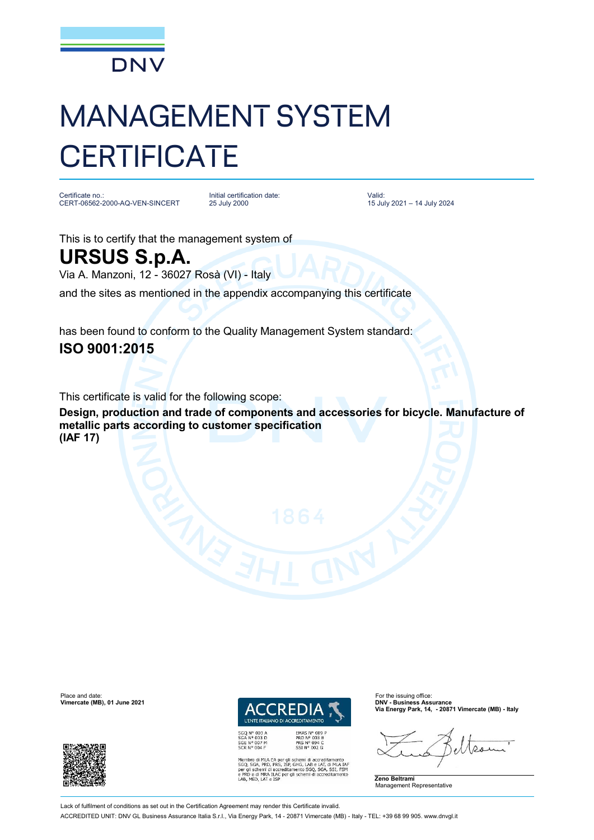

## MANAGEMENT SYSTEM **CERTIFICATE**

Certificate no.: CERT-06562-2000-AQ-VEN-SINCERT

Initial certification date: 25 July 2000

Valid: 15 July 2021 – 14 July 2024

This is to certify that the management system of **URSUS S.p.A.**

Via A. Manzoni, 12 - 36027 Rosà (VI) - Italy

and the sites as mentioned in the appendix accompanying this certificate

has been found to conform to the Quality Management System standard: **ISO 9001:2015**

This certificate is valid for the following scope:

**Design, production and trade of components and accessories for bicycle. Manufacture of metallic parts according to customer specification (IAF 17)**

Place and date: For the issuing office:<br> **Place and date:** For the issuing office: For the issuing office: For the issuing office:<br> **Place and Contract Contract Contract Contract Contract Contract Contract Contract Contrac Vimercate (MB), 01 June 2021** 



*I'ENTE ITALIANO DI ACC* **EDITAMENTO** EMAS Nº 009 F

EMAS N° 009<br>PRD N° 003 B<br>PRS N° 094 C<br>SSI N° 002 G

SSLIN<sup>-1</sup> UDG<br>
Membro di MLA EA per gli schemi di accreditamento<br>
SGQ, SGA, PRD, PRS, ISP, GHG, LAB e LAT, di MLA IAF<br>
per gli schemi di accreditamento SGQ, SGA, SSI, FSM<br>
e PRD e di MRA ILAC<br>
LAB, MED, LAT e ISP<br>
LAB, MED

**Via Energy Park, 14, - 20871 Vimercate (MB) - Italy**

**Zeno Beltrami** Management Representative

Lack of fulfilment of conditions as set out in the Certification Agreement may render this Certificate invalid. ACCREDITED UNIT: DNV GL Business Assurance Italia S.r.l., Via Energy Park, 14 - 20871 Vimercate (MB) - Italy - TEL: +39 68 99 905. [www.dnvgl.it](http://www.dnvgl.it)